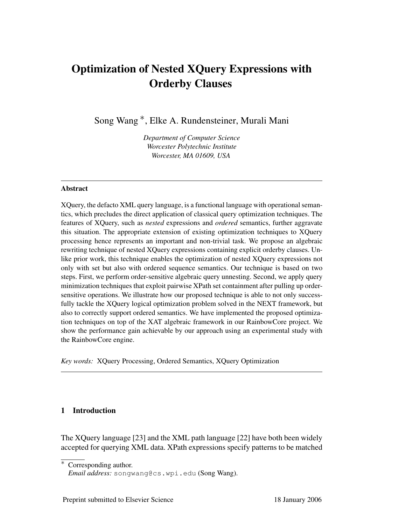# Optimization of Nested XQuery Expressions with Orderby Clauses

Song Wang ∗, Elke A. Rundensteiner, Murali Mani

*Department of Computer Science Worcester Polytechnic Institute Worcester, MA 01609, USA*

#### Abstract

XQuery, the defacto XML query language, is a functional language with operational semantics, which precludes the direct application of classical query optimization techniques. The features of XQuery, such as *nested* expressions and *ordered* semantics, further aggravate this situation. The appropriate extension of existing optimization techniques to XQuery processing hence represents an important and non-trivial task. We propose an algebraic rewriting technique of nested XQuery expressions containing explicit orderby clauses. Unlike prior work, this technique enables the optimization of nested XQuery expressions not only with set but also with ordered sequence semantics. Our technique is based on two steps. First, we perform order-sensitive algebraic query unnesting. Second, we apply query minimization techniques that exploit pairwise XPath set containment after pulling up ordersensitive operations. We illustrate how our proposed technique is able to not only successfully tackle the XQuery logical optimization problem solved in the NEXT framework, but also to correctly support ordered semantics. We have implemented the proposed optimization techniques on top of the XAT algebraic framework in our RainbowCore project. We show the performance gain achievable by our approach using an experimental study with the RainbowCore engine.

*Key words:* XQuery Processing, Ordered Semantics, XQuery Optimization

# 1 Introduction

The XQuery language [23] and the XML path language [22] have both been widely accepted for querying XML data. XPath expressions specify patterns to be matched

<sup>∗</sup> Corresponding author.

*Email address:* songwang@cs.wpi.edu (Song Wang).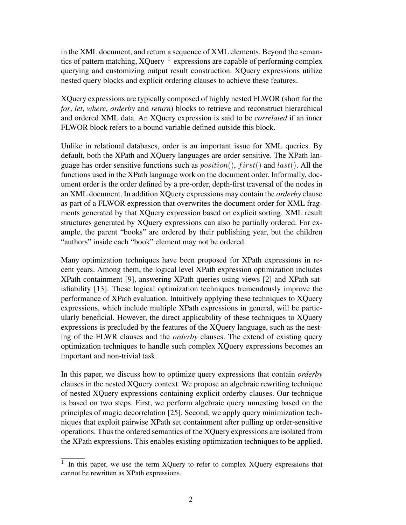in the XML document, and return a sequence of XML elements. Beyond the semantics of pattern matching, XQuery  $1$  expressions are capable of performing complex querying and customizing output result construction. XQuery expressions utilize nested query blocks and explicit ordering clauses to achieve these features.

XQuery expressions are typically composed of highly nested FLWOR (short for the *for*, *let*, *where*, *orderby* and *return*) blocks to retrieve and reconstruct hierarchical and ordered XML data. An XQuery expression is said to be *correlated* if an inner FLWOR block refers to a bound variable defined outside this block.

Unlike in relational databases, order is an important issue for XML queries. By default, both the XPath and XQuery languages are order sensitive. The XPath language has order sensitive functions such as  $position(), first()$  and  $last().$  All the functions used in the XPath language work on the document order. Informally, document order is the order defined by a pre-order, depth-first traversal of the nodes in an XML document. In addition XQuery expressions may contain the *orderby* clause as part of a FLWOR expression that overwrites the document order for XML fragments generated by that XQuery expression based on explicit sorting. XML result structures generated by XQuery expressions can also be partially ordered. For example, the parent "books" are ordered by their publishing year, but the children "authors" inside each "book" element may not be ordered.

Many optimization techniques have been proposed for XPath expressions in recent years. Among them, the logical level XPath expression optimization includes XPath containment [9], answering XPath queries using views [2] and XPath satisfiability [13]. These logical optimization techniques tremendously improve the performance of XPath evaluation. Intuitively applying these techniques to XQuery expressions, which include multiple XPath expressions in general, will be particularly beneficial. However, the direct applicability of these techniques to XQuery expressions is precluded by the features of the XQuery language, such as the nesting of the FLWR clauses and the *orderby* clauses. The extend of existing query optimization techniques to handle such complex XQuery expressions becomes an important and non-trivial task.

In this paper, we discuss how to optimize query expressions that contain *orderby* clauses in the nested XQuery context. We propose an algebraic rewriting technique of nested XQuery expressions containing explicit orderby clauses. Our technique is based on two steps. First, we perform algebraic query unnesting based on the principles of magic decorrelation [25]. Second, we apply query minimization techniques that exploit pairwise XPath set containment after pulling up order-sensitive operations. Thus the ordered semantics of the XQuery expressions are isolated from the XPath expressions. This enables existing optimization techniques to be applied.

 $1$  In this paper, we use the term XQuery to refer to complex XQuery expressions that cannot be rewritten as XPath expressions.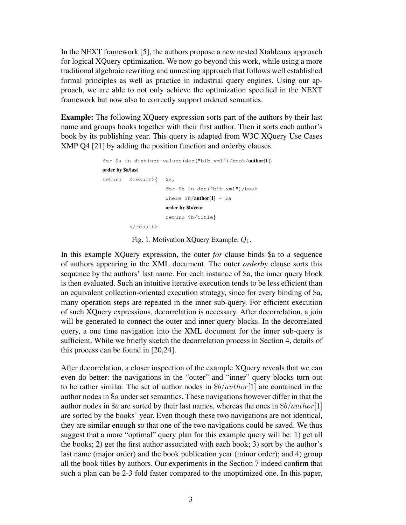In the NEXT framework [5], the authors propose a new nested Xtableaux approach for logical XQuery optimization. We now go beyond this work, while using a more traditional algebraic rewriting and unnesting approach that follows well established formal principles as well as practice in industrial query engines. Using our approach, we are able to not only achieve the optimization specified in the NEXT framework but now also to correctly support ordered semantics.

Example: The following XQuery expression sorts part of the authors by their last name and groups books together with their first author. Then it sorts each author's book by its publishing year. This query is adapted from W3C XQuery Use Cases XMP Q4 [21] by adding the position function and orderby clauses.

```
for $a in distinct-values(doc("bib.xml")/book/author[1])
order by $a/last
return <result>{ $a,
                      for $b in doc("bib.xml")/book
                      where $b/author[1] = $aorder by $b/year
                      return $b/title}
         \langleresult>
```
Fig. 1. Motivation XQuery Example:  $Q_1$ .

In this example XQuery expression, the outer *for* clause binds \$a to a sequence of authors appearing in the XML document. The outer *orderby* clause sorts this sequence by the authors' last name. For each instance of \$a, the inner query block is then evaluated. Such an intuitive iterative execution tends to be less efficient than an equivalent collection-oriented execution strategy, since for every binding of \$a, many operation steps are repeated in the inner sub-query. For efficient execution of such XQuery expressions, decorrelation is necessary. After decorrelation, a join will be generated to connect the outer and inner query blocks. In the decorrelated query, a one time navigation into the XML document for the inner sub-query is sufficient. While we briefly sketch the decorrelation process in Section 4, details of this process can be found in [20,24].

After decorrelation, a closer inspection of the example XQuery reveals that we can even do better: the navigations in the "outer" and "inner" query blocks turn out to be rather similar. The set of author nodes in  $\frac{6}{3}b/author[1]$  are contained in the author nodes in \$a under set semantics. These navigations however differ in that the author nodes in \$*a* are sorted by their last names, whereas the ones in  $$b/author[1]$ are sorted by the books' year. Even though these two navigations are not identical, they are similar enough so that one of the two navigations could be saved. We thus suggest that a more "optimal" query plan for this example query will be: 1) get all the books; 2) get the first author associated with each book; 3) sort by the author's last name (major order) and the book publication year (minor order); and 4) group all the book titles by authors. Our experiments in the Section 7 indeed confirm that such a plan can be 2-3 fold faster compared to the unoptimized one. In this paper,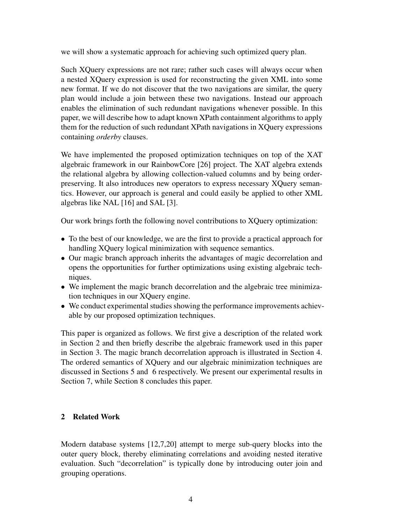we will show a systematic approach for achieving such optimized query plan.

Such XQuery expressions are not rare; rather such cases will always occur when a nested XQuery expression is used for reconstructing the given XML into some new format. If we do not discover that the two navigations are similar, the query plan would include a join between these two navigations. Instead our approach enables the elimination of such redundant navigations whenever possible. In this paper, we will describe how to adapt known XPath containment algorithms to apply them for the reduction of such redundant XPath navigations in XQuery expressions containing *orderby* clauses.

We have implemented the proposed optimization techniques on top of the XAT algebraic framework in our RainbowCore [26] project. The XAT algebra extends the relational algebra by allowing collection-valued columns and by being orderpreserving. It also introduces new operators to express necessary XQuery semantics. However, our approach is general and could easily be applied to other XML algebras like NAL [16] and SAL [3].

Our work brings forth the following novel contributions to XQuery optimization:

- To the best of our knowledge, we are the first to provide a practical approach for handling XQuery logical minimization with sequence semantics.
- Our magic branch approach inherits the advantages of magic decorrelation and opens the opportunities for further optimizations using existing algebraic techniques.
- We implement the magic branch decorrelation and the algebraic tree minimization techniques in our XQuery engine.
- We conduct experimental studies showing the performance improvements achievable by our proposed optimization techniques.

This paper is organized as follows. We first give a description of the related work in Section 2 and then briefly describe the algebraic framework used in this paper in Section 3. The magic branch decorrelation approach is illustrated in Section 4. The ordered semantics of XQuery and our algebraic minimization techniques are discussed in Sections 5 and 6 respectively. We present our experimental results in Section 7, while Section 8 concludes this paper.

# 2 Related Work

Modern database systems [12,7,20] attempt to merge sub-query blocks into the outer query block, thereby eliminating correlations and avoiding nested iterative evaluation. Such "decorrelation" is typically done by introducing outer join and grouping operations.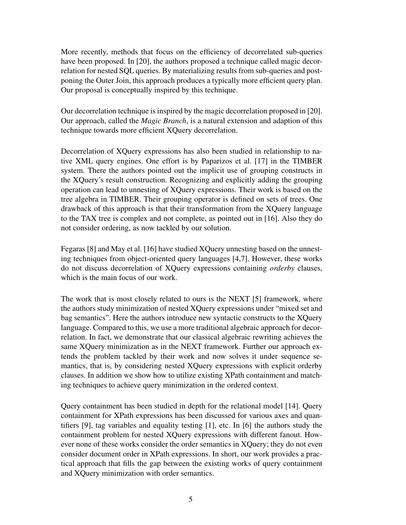More recently, methods that focus on the efficiency of decorrelated sub-queries have been proposed. In [20], the authors proposed a technique called magic decorrelation for nested SQL queries. By materializing results from sub-queries and postponing the Outer Join, this approach produces a typically more efficient query plan. Our proposal is conceptually inspired by this technique.

Our decorrelation technique is inspired by the magic decorrelation proposed in [20]. Our approach, called the *Magic Branch*, is a natural extension and adaption of this technique towards more efficient XQuery decorrelation.

Decorrelation of XQuery expressions has also been studied in relationship to native XML query engines. One effort is by Paparizos et al. [17] in the TIMBER system. There the authors pointed out the implicit use of grouping constructs in the XQuery's result construction. Recognizing and explicitly adding the grouping operation can lead to unnesting of XQuery expressions. Their work is based on the tree algebra in TIMBER. Their grouping operator is defined on sets of trees. One drawback of this approach is that their transformation from the XQuery language to the TAX tree is complex and not complete, as pointed out in [16]. Also they do not consider ordering, as now tackled by our solution.

Fegaras [8] and May et al. [16] have studied XQuery unnesting based on the unnesting techniques from object-oriented query languages [4,7]. However, these works do not discuss decorrelation of XQuery expressions containing *orderby* clauses, which is the main focus of our work.

The work that is most closely related to ours is the NEXT [5] framework, where the authors study minimization of nested XQuery expressions under "mixed set and bag semantics". Here the authors introduce new syntactic constructs to the XQuery language. Compared to this, we use a more traditional algebraic approach for decorrelation. In fact, we demonstrate that our classical algebraic rewriting achieves the same XQuery minimization as in the NEXT framework. Further our approach extends the problem tackled by their work and now solves it under sequence semantics, that is, by considering nested XQuery expressions with explicit orderby clauses. In addition we show how to utilize existing XPath containment and matching techniques to achieve query minimization in the ordered context.

Query containment has been studied in depth for the relational model [14]. Query containment for XPath expressions has been discussed for various axes and quantifiers [9], tag variables and equality testing [1], etc. In [6] the authors study the containment problem for nested XQuery expressions with different fanout. However none of these works consider the order semantics in XQuery; they do not even consider document order in XPath expressions. In short, our work provides a practical approach that fills the gap between the existing works of query containment and XQuery minimization with order semantics.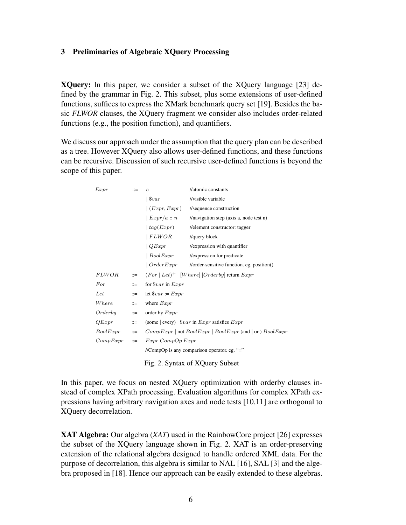### 3 Preliminaries of Algebraic XQuery Processing

XQuery: In this paper, we consider a subset of the XQuery language [23] defined by the grammar in Fig. 2. This subset, plus some extensions of user-defined functions, suffices to express the XMark benchmark query set [19]. Besides the basic *FLWOR* clauses, the XQuery fragment we consider also includes order-related functions (e.g., the position function), and quantifiers.

We discuss our approach under the assumption that the query plan can be described as a tree. However XQuery also allows user-defined functions, and these functions can be recursive. Discussion of such recursive user-defined functions is beyond the scope of this paper.

| Expr                            | $\mathbb{R}^2$                               | $\overline{c}$                                              | //atomic constants                                                 |  |  |
|---------------------------------|----------------------------------------------|-------------------------------------------------------------|--------------------------------------------------------------------|--|--|
|                                 |                                              | $  \, \$var$                                                | //visible variable                                                 |  |  |
|                                 |                                              | (Expr, Expr)                                                | //sequence construction                                            |  |  |
|                                 |                                              | ~Expr/a :: n                                                | $//$ navigation step (axis a, node test n)                         |  |  |
|                                 |                                              | $\vert tag(Expr)$                                           | //element constructor: tagger                                      |  |  |
|                                 |                                              | $\vert$ FLWOR                                               | //query block                                                      |  |  |
|                                 |                                              | QExpr                                                       | //expression with quantifier                                       |  |  |
|                                 |                                              | $\vert \;BoolExpr$                                          | //expression for predicate                                         |  |  |
|                                 |                                              |                                                             | $\vert OrderExpr \vert$ //order-sensitive function. eg. position() |  |  |
| <i>FLWOR</i>                    | $\mathbb{C} =$                               | $(For   Let)^+$ [Where] [Orderby] return $Expr$             |                                                                    |  |  |
| For                             | $::=$                                        | for $\$var$ in $Expr$                                       |                                                                    |  |  |
| Let                             | $\mathbb{I}:=$                               | let $\$var := Expr$                                         |                                                                    |  |  |
| Where                           | $::=$                                        | where $Expr$                                                |                                                                    |  |  |
| Orderby                         | $::=$                                        | order by $Expr$                                             |                                                                    |  |  |
| QExpr                           | $\mathbb{C} =$                               | (some   every) $\$var$ in <i>Expr</i> satisfies <i>Expr</i> |                                                                    |  |  |
| BoolExpr                        | $\cdots$ $\cdots$                            | $CompExpr   not BoolExpr   BookExpr (and   or ) BoolExpr$   |                                                                    |  |  |
| $CompExpr ::=$                  |                                              | Expr CompOp Expr                                            |                                                                    |  |  |
|                                 | //CompOp is any comparison operator. eg. "=" |                                                             |                                                                    |  |  |
| Fig. 2. Syntax of XQuery Subset |                                              |                                                             |                                                                    |  |  |

In this paper, we focus on nested XQuery optimization with orderby clauses instead of complex XPath processing. Evaluation algorithms for complex XPath expressions having arbitrary navigation axes and node tests [10,11] are orthogonal to XQuery decorrelation.

XAT Algebra: Our algebra (*XAT*) used in the RainbowCore project [26] expresses the subset of the XQuery language shown in Fig. 2. XAT is an order-preserving extension of the relational algebra designed to handle ordered XML data. For the purpose of decorrelation, this algebra is similar to NAL [16], SAL [3] and the algebra proposed in [18]. Hence our approach can be easily extended to these algebras.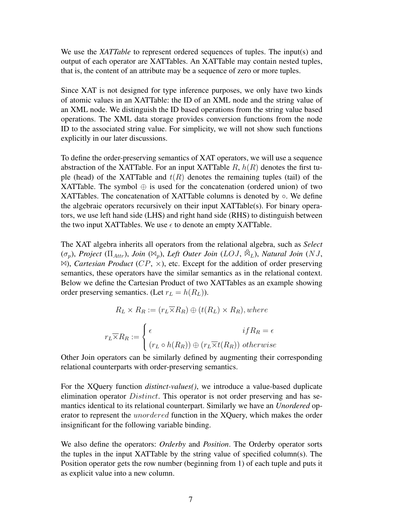We use the *XATTable* to represent ordered sequences of tuples. The input(s) and output of each operator are XATTables. An XATTable may contain nested tuples, that is, the content of an attribute may be a sequence of zero or more tuples.

Since XAT is not designed for type inference purposes, we only have two kinds of atomic values in an XATTable: the ID of an XML node and the string value of an XML node. We distinguish the ID based operations from the string value based operations. The XML data storage provides conversion functions from the node ID to the associated string value. For simplicity, we will not show such functions explicitly in our later discussions.

To define the order-preserving semantics of XAT operators, we will use a sequence abstraction of the XATTable. For an input XATTable  $R$ ,  $h(R)$  denotes the first tuple (head) of the XATTable and  $t(R)$  denotes the remaining tuples (tail) of the XATTable. The symbol  $\oplus$  is used for the concatenation (ordered union) of two XATTables. The concatenation of XATTable columns is denoted by ○. We define the algebraic operators recursively on their input XATTable(s). For binary operators, we use left hand side (LHS) and right hand side (RHS) to distinguish between the two input XATTables. We use  $\epsilon$  to denote an empty XATTable.

The XAT algebra inherits all operators from the relational algebra, such as *Select* (σ<sub>p</sub>), Project (Π<sub>Attr</sub>), Join ( $\mathbb{N}_p$ ), Left Outer Join (LOJ,  $\mathbb{N}_L$ ), Natural Join (NJ,  $\bowtie$ ), *Cartesian Product* (*CP*,  $\times$ ), etc. Except for the addition of order preserving semantics, these operators have the similar semantics as in the relational context. Below we define the Cartesian Product of two XATTables as an example showing order preserving semantics. (Let  $r_L = h(R_L)$ ).

$$
R_L \times R_R := (r_L \overline{\times} R_R) \oplus (t(R_L) \times R_R), where
$$

$$
r_L \overline{\times} R_R := \begin{cases} \epsilon & if R_R = \epsilon \\ (r_L \circ h(R_R)) \oplus (r_L \overline{\times} t(R_R)) & otherwise \end{cases}
$$

Other Join operators can be similarly defined by augmenting their corresponding relational counterparts with order-preserving semantics.

For the XQuery function *distinct-values()*, we introduce a value-based duplicate elimination operator *Distinct*. This operator is not order preserving and has semantics identical to its relational counterpart. Similarly we have an *Unordered* operator to represent the unordered function in the XQuery, which makes the order insignificant for the following variable binding.

We also define the operators: *Orderby* and *Position*. The Orderby operator sorts the tuples in the input XATTable by the string value of specified column(s). The Position operator gets the row number (beginning from 1) of each tuple and puts it as explicit value into a new column.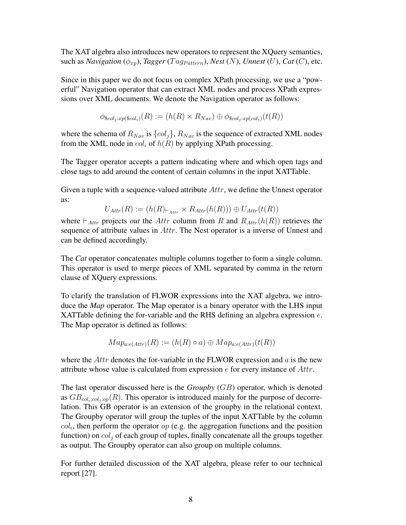The XAT algebra also introduces new operators to represent the XQuery semantics, such as *Navigation* ( $\phi_{xp}$ ), *Tagger* (*Tag<sub>Pattern</sub>*), *Nest* (*N*), *Unnest* (*U*), *Cat* (*C*), etc.

Since in this paper we do not focus on complex XPath processing, we use a "powerful" Navigation operator that can extract XML nodes and process XPath expressions over XML documents. We denote the Navigation operator as follows:

$$
\phi_{\$col_j: xp(\$col_i)}(R) := (h(R) \times R_{Nav}) \oplus \phi_{\$col_j: xp,col_i)}(t(R))
$$

where the schema of  $R_{Nav}$  is  $\{col_i\}$ ,  $R_{Nav}$  is the sequence of extracted XML nodes from the XML node in  $col_i$  of  $h(R)$  by applying XPath processing.

The Tagger operator accepts a pattern indicating where and which open tags and close tags to add around the content of certain columns in the input XATTable.

Given a tuple with a sequence-valued attribute  $Attr$ , we define the Unnest operator as:

$$
U_{Attr}(R) := (h(R)_{\vdash_{Attr}} \times R_{Attr}(h(R))) \oplus U_{Attr}(t(R))
$$

where  $\vdash_{Attr}$  projects *out* the *Attr* column from R and  $R_{Attr}(h(R))$  retrieves the sequence of attribute values in Attr. The Nest operator is a inverse of Unnest and can be defined accordingly.

The *Cat* operator concatenates multiple columns together to form a single column. This operator is used to merge pieces of XML separated by comma in the return clause of XQuery expressions.

To clarify the translation of FLWOR expressions into the XAT algebra, we introduce the *Map* operator. The Map operator is a binary operator with the LHS input XATTable defining the for-variable and the RHS defining an algebra expression  $e$ . The Map operator is defined as follows:

$$
Map_{a:e(Attr)}(R) := (h(R) \circ a) \oplus Map_{a:e(Attr)}(t(R))
$$

where the Attr denotes the for-variable in the FLWOR expression and  $a$  is the new attribute whose value is calculated from expression  $e$  for every instance of  $Attr$ .

The last operator discussed here is the *Groupby* (GB) operator, which is denoted as  $GB_{coli:col_i;co}$  $(R)$ . This operator is introduced mainly for the purpose of decorrelation. This GB operator is an extension of the groupby in the relational context. The Groupby operator will group the tuples of the input XATTable by the column  $col<sub>i</sub>$ , then perform the operator  $op$  (e.g. the aggregation functions and the position function) on  $col_i$  of each group of tuples, finally concatenate all the groups together as output. The Groupby operator can also group on multiple columns.

For further detailed discussion of the XAT algebra, please refer to our technical report [27].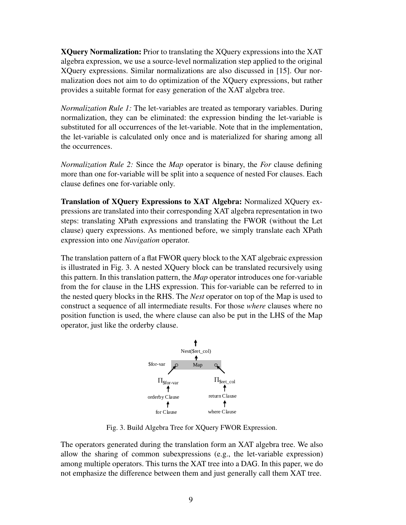XQuery Normalization: Prior to translating the XQuery expressions into the XAT algebra expression, we use a source-level normalization step applied to the original XQuery expressions. Similar normalizations are also discussed in [15]. Our normalization does not aim to do optimization of the XQuery expressions, but rather provides a suitable format for easy generation of the XAT algebra tree.

*Normalization Rule 1:* The let-variables are treated as temporary variables. During normalization, they can be eliminated: the expression binding the let-variable is substituted for all occurrences of the let-variable. Note that in the implementation, the let-variable is calculated only once and is materialized for sharing among all the occurrences.

*Normalization Rule 2:* Since the *Map* operator is binary, the *For* clause defining more than one for-variable will be split into a sequence of nested For clauses. Each clause defines one for-variable only.

Translation of XQuery Expressions to XAT Algebra: Normalized XQuery expressions are translated into their corresponding XAT algebra representation in two steps: translating XPath expressions and translating the FWOR (without the Let clause) query expressions. As mentioned before, we simply translate each XPath expression into one *Navigation* operator.

The translation pattern of a flat FWOR query block to the XAT algebraic expression is illustrated in Fig. 3. A nested XQuery block can be translated recursively using this pattern. In this translation pattern, the *Map* operator introduces one for-variable from the for clause in the LHS expression. This for-variable can be referred to in the nested query blocks in the RHS. The *Nest* operator on top of the Map is used to construct a sequence of all intermediate results. For those *where* clauses where no position function is used, the where clause can also be put in the LHS of the Map operator, just like the orderby clause.



Fig. 3. Build Algebra Tree for XQuery FWOR Expression.

The operators generated during the translation form an XAT algebra tree. We also allow the sharing of common subexpressions (e.g., the let-variable expression) among multiple operators. This turns the XAT tree into a DAG. In this paper, we do not emphasize the difference between them and just generally call them XAT tree.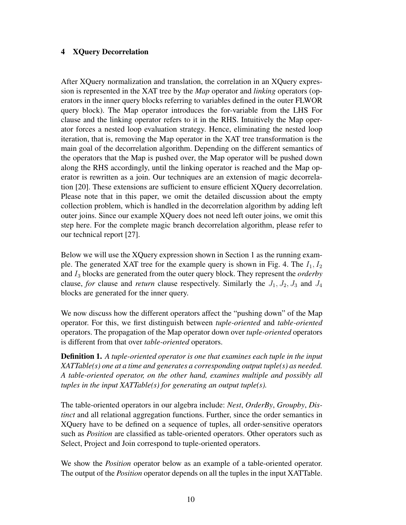# 4 XQuery Decorrelation

After XQuery normalization and translation, the correlation in an XQuery expression is represented in the XAT tree by the *Map* operator and *linking* operators (operators in the inner query blocks referring to variables defined in the outer FLWOR query block). The Map operator introduces the for-variable from the LHS For clause and the linking operator refers to it in the RHS. Intuitively the Map operator forces a nested loop evaluation strategy. Hence, eliminating the nested loop iteration, that is, removing the Map operator in the XAT tree transformation is the main goal of the decorrelation algorithm. Depending on the different semantics of the operators that the Map is pushed over, the Map operator will be pushed down along the RHS accordingly, until the linking operator is reached and the Map operator is rewritten as a join. Our techniques are an extension of magic decorrelation [20]. These extensions are sufficient to ensure efficient XQuery decorrelation. Please note that in this paper, we omit the detailed discussion about the empty collection problem, which is handled in the decorrelation algorithm by adding left outer joins. Since our example XQuery does not need left outer joins, we omit this step here. For the complete magic branch decorrelation algorithm, please refer to our technical report [27].

Below we will use the XQuery expression shown in Section 1 as the running example. The generated XAT tree for the example query is shown in Fig. 4. The  $I_1, I_2$ and I<sup>3</sup> blocks are generated from the outer query block. They represent the *orderby* clause, *for* clause and *return* clause respectively. Similarly the  $J_1, J_2, J_3$  and  $J_4$ blocks are generated for the inner query.

We now discuss how the different operators affect the "pushing down" of the Map operator. For this, we first distinguish between *tuple-oriented* and *table-oriented* operators. The propagation of the Map operator down over *tuple-oriented* operators is different from that over *table-oriented* operators.

Definition 1. *A tuple-oriented operator is one that examines each tuple in the input XATTable(s) one at a time and generates a corresponding output tuple(s) as needed. A table-oriented operator, on the other hand, examines multiple and possibly all tuples in the input XATTable(s) for generating an output tuple(s).*

The table-oriented operators in our algebra include: *Nest*, *OrderBy*, *Groupby*, *Distinct* and all relational aggregation functions. Further, since the order semantics in XQuery have to be defined on a sequence of tuples, all order-sensitive operators such as *Position* are classified as table-oriented operators. Other operators such as Select, Project and Join correspond to tuple-oriented operators.

We show the *Position* operator below as an example of a table-oriented operator. The output of the *Position* operator depends on all the tuples in the input XATTable.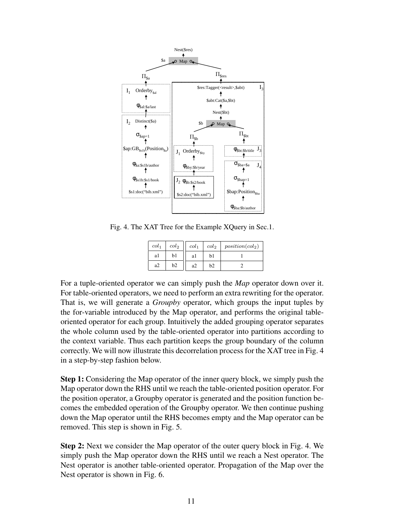

Fig. 4. The XAT Tree for the Example XQuery in Sec.1.

| col <sub>1</sub> | col <sub>2</sub> | col <sub>1</sub> | col <sub>2</sub> | position(col <sub>2</sub> ) |
|------------------|------------------|------------------|------------------|-----------------------------|
| al               | b1               | al               | b1               |                             |
| a2               | b2               | a2               | b2               |                             |

For a tuple-oriented operator we can simply push the *Map* operator down over it. For table-oriented operators, we need to perform an extra rewriting for the operator. That is, we will generate a *Groupby* operator, which groups the input tuples by the for-variable introduced by the Map operator, and performs the original tableoriented operator for each group. Intuitively the added grouping operator separates the whole column used by the table-oriented operator into partitions according to the context variable. Thus each partition keeps the group boundary of the column correctly. We will now illustrate this decorrelation process for the XAT tree in Fig. 4 in a step-by-step fashion below.

Step 1: Considering the Map operator of the inner query block, we simply push the Map operator down the RHS until we reach the table-oriented position operator. For the position operator, a Groupby operator is generated and the position function becomes the embedded operation of the Groupby operator. We then continue pushing down the Map operator until the RHS becomes empty and the Map operator can be removed. This step is shown in Fig. 5.

Step 2: Next we consider the Map operator of the outer query block in Fig. 4. We simply push the Map operator down the RHS until we reach a Nest operator. The Nest operator is another table-oriented operator. Propagation of the Map over the Nest operator is shown in Fig. 6.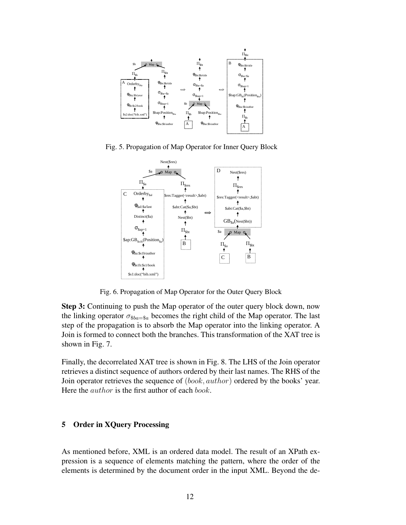

Fig. 5. Propagation of Map Operator for Inner Query Block



Fig. 6. Propagation of Map Operator for the Outer Query Block

Step 3: Continuing to push the Map operator of the outer query block down, now the linking operator  $\sigma_{\$ba=\$a}$  becomes the right child of the Map operator. The last step of the propagation is to absorb the Map operator into the linking operator. A Join is formed to connect both the branches. This transformation of the XAT tree is shown in Fig. 7.

Finally, the decorrelated XAT tree is shown in Fig. 8. The LHS of the Join operator retrieves a distinct sequence of authors ordered by their last names. The RHS of the Join operator retrieves the sequence of (book, author) ordered by the books' year. Here the *author* is the first author of each *book*.

# 5 Order in XQuery Processing

As mentioned before, XML is an ordered data model. The result of an XPath expression is a sequence of elements matching the pattern, where the order of the elements is determined by the document order in the input XML. Beyond the de-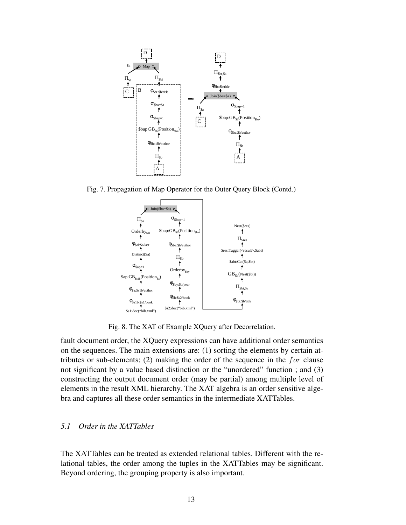

Fig. 7. Propagation of Map Operator for the Outer Query Block (Contd.)



Fig. 8. The XAT of Example XQuery after Decorrelation.

fault document order, the XQuery expressions can have additional order semantics on the sequences. The main extensions are: (1) sorting the elements by certain attributes or sub-elements; (2) making the order of the sequence in the  $for$  clause not significant by a value based distinction or the "unordered" function ; and (3) constructing the output document order (may be partial) among multiple level of elements in the result XML hierarchy. The XAT algebra is an order sensitive algebra and captures all these order semantics in the intermediate XATTables.

# *5.1 Order in the XATTables*

The XATTables can be treated as extended relational tables. Different with the relational tables, the order among the tuples in the XATTables may be significant. Beyond ordering, the grouping property is also important.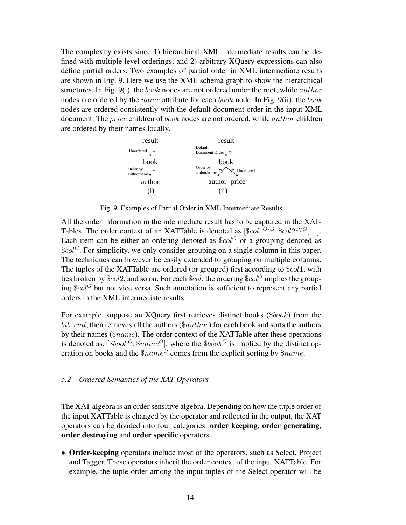The complexity exists since 1) hierarchical XML intermediate results can be defined with multiple level orderings; and 2) arbitrary XQuery expressions can also define partial orders. Two examples of partial order in XML intermediate results are shown in Fig. 9. Here we use the XML schema graph to show the hierarchical structures. In Fig.  $9(i)$ , the *book* nodes are not ordered under the root, while *author* nodes are ordered by the *name* attribute for each *book* node. In Fig. 9(ii), the *book* nodes are ordered consistently with the default document order in the input XML document. The *price* children of *book* nodes are not ordered, while *author* children are ordered by their names locally.



Fig. 9. Examples of Partial Order in XML Intermediate Results

All the order information in the intermediate result has to be captured in the XAT-Tables. The order context of an XATTable is denoted as  $[\text{$col1^{O/G}$}, \text{$col2^{O/G}$}, \ldots]$ . Each item can be either an ordering denoted as  $\$col^{\circ}$  or a grouping denoted as  $\mathscr{E}col^G$ . For simplicity, we only consider grouping on a single column in this paper. The techniques can however be easily extended to grouping on multiple columns. The tuples of the XATTable are ordered (or grouped) first according to \$col1, with ties broken by  $\&col2$ , and so on. For each  $\&col$ , the ordering  $\&col^O$  implies the grouping  $\text{Scol}^G$  but not vice versa. Such annotation is sufficient to represent any partial orders in the XML intermediate results.

For example, suppose an XQuery first retrieves distinct books (\$book) from the  $bib.xml$ , then retrieves all the authors ( $\$author$ ) for each book and sorts the authors by their names (\$name). The order context of the XATTable after these operations is denoted as:  $\left[\$book^G, \$name^O\right]$ , where the  $\$book^G$  is implied by the distinct operation on books and the  $$name^O$  comes from the explicit sorting by  $$name.$ 

### *5.2 Ordered Semantics of the XAT Operators*

The XAT algebra is an order sensitive algebra. Depending on how the tuple order of the input XATTable is changed by the operator and reflected in the output, the XAT operators can be divided into four categories: order keeping, order generating, order destroying and order specific operators.

• Order-keeping operators include most of the operators, such as Select, Project and Tagger. These operators inherit the order context of the input XATTable. For example, the tuple order among the input tuples of the Select operator will be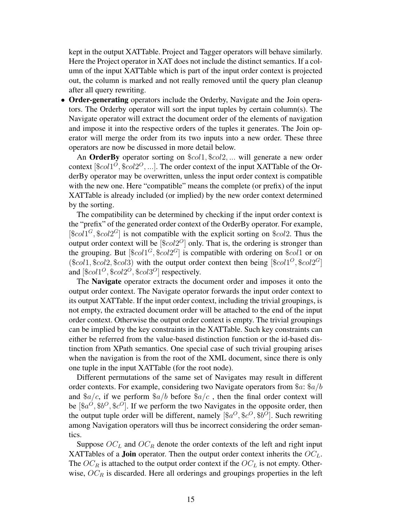kept in the output XATTable. Project and Tagger operators will behave similarly. Here the Project operator in XAT does not include the distinct semantics. If a column of the input XATTable which is part of the input order context is projected out, the column is marked and not really removed until the query plan cleanup after all query rewriting.

• **Order-generating** operators include the Orderby, Navigate and the Join operators. The Orderby operator will sort the input tuples by certain column(s). The Navigate operator will extract the document order of the elements of navigation and impose it into the respective orders of the tuples it generates. The Join operator will merge the order from its two inputs into a new order. These three operators are now be discussed in more detail below.

An **OrderBy** operator sorting on  $\text{\$col1}, \text{\$col2}, \dots$  will generate a new order context  $[\$col1^O, \$col2^O, \ldots]$ . The order context of the input XATTable of the OrderBy operator may be overwritten, unless the input order context is compatible with the new one. Here "compatible" means the complete (or prefix) of the input XATTable is already included (or implied) by the new order context determined by the sorting.

The compatibility can be determined by checking if the input order context is the "prefix" of the generated order context of the OrderBy operator. For example,  $[\$col1^G, \$col2^G]$  is not compatible with the explicit sorting on  $\$col2$ . Thus the output order context will be  $[\$col2^O]$  only. That is, the ordering is stronger than the grouping. But  $[\text{Scol}1^G, \text{Scol}2^G]$  is compatible with ordering on  $\text{Scol}1$  or on  $(\$col1, \$col2, \$col3)$  with the output order context then being  $[\$col1^O, \$col2^G]$ and  $[\$col1^O, \$col2^O, \$col3^O]$  respectively.

The Navigate operator extracts the document order and imposes it onto the output order context. The Navigate operator forwards the input order context to its output XATTable. If the input order context, including the trivial groupings, is not empty, the extracted document order will be attached to the end of the input order context. Otherwise the output order context is empty. The trivial groupings can be implied by the key constraints in the XATTable. Such key constraints can either be referred from the value-based distinction function or the id-based distinction from XPath semantics. One special case of such trivial grouping arises when the navigation is from the root of the XML document, since there is only one tuple in the input XATTable (for the root node).

Different permutations of the same set of Navigates may result in different order contexts. For example, considering two Navigate operators from  $a: \alpha/b$ and  $\alpha/c$ , if we perform  $\alpha/b$  before  $\alpha/c$ , then the final order context will be  $[\$a^O, \$b^O, \$c^O]$ . If we perform the two Navigates in the opposite order, then the output tuple order will be different, namely  $[\$a^O, \$c^O, \$b^O]$ . Such rewriting among Navigation operators will thus be incorrect considering the order semantics.

Suppose  $OC<sub>L</sub>$  and  $OC<sub>R</sub>$  denote the order contexts of the left and right input XATTables of a **Join** operator. Then the output order context inherits the  $OC<sub>L</sub>$ . The  $OC_R$  is attached to the output order context if the  $OC_L$  is not empty. Otherwise,  $OC_R$  is discarded. Here all orderings and groupings properties in the left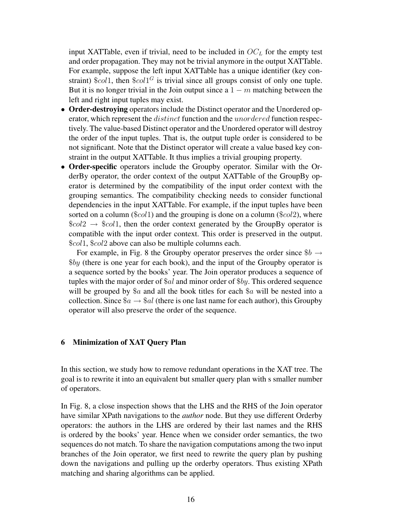input XATTable, even if trivial, need to be included in  $OC<sub>L</sub>$  for the empty test and order propagation. They may not be trivial anymore in the output XATTable. For example, suppose the left input XATTable has a unique identifier (key constraint)  $\&col1$ , then  $\&col1^G$  is trivial since all groups consist of only one tuple. But it is no longer trivial in the Join output since a  $1 - m$  matching between the left and right input tuples may exist.

- Order-destroying operators include the Distinct operator and the Unordered operator, which represent the *distinct* function and the *unordered* function respectively. The value-based Distinct operator and the Unordered operator will destroy the order of the input tuples. That is, the output tuple order is considered to be not significant. Note that the Distinct operator will create a value based key constraint in the output XATTable. It thus implies a trivial grouping property.
- Order-specific operators include the Groupby operator. Similar with the OrderBy operator, the order context of the output XATTable of the GroupBy operator is determined by the compatibility of the input order context with the grouping semantics. The compatibility checking needs to consider functional dependencies in the input XATTable. For example, if the input tuples have been sorted on a column ( $\&col1$ ) and the grouping is done on a column ( $\&col2$ ), where  $\text{Scol2} \rightarrow \text{Scol1}$ , then the order context generated by the GroupBy operator is compatible with the input order context. This order is preserved in the output. \$col1, \$col2 above can also be multiple columns each.

For example, in Fig. 8 the Groupby operator preserves the order since  $\$b \rightarrow$  $$by$  (there is one year for each book), and the input of the Groupby operator is a sequence sorted by the books' year. The Join operator produces a sequence of tuples with the major order of  $a$ l and minor order of  $b$ y. This ordered sequence will be grouped by  $a$  and all the book titles for each  $a$  will be nested into a collection. Since  $a \rightarrow \mathcal{A}$  (there is one last name for each author), this Groupby operator will also preserve the order of the sequence.

# 6 Minimization of XAT Query Plan

In this section, we study how to remove redundant operations in the XAT tree. The goal is to rewrite it into an equivalent but smaller query plan with s smaller number of operators.

In Fig. 8, a close inspection shows that the LHS and the RHS of the Join operator have similar XPath navigations to the *author* node. But they use different Orderby operators: the authors in the LHS are ordered by their last names and the RHS is ordered by the books' year. Hence when we consider order semantics, the two sequences do not match. To share the navigation computations among the two input branches of the Join operator, we first need to rewrite the query plan by pushing down the navigations and pulling up the orderby operators. Thus existing XPath matching and sharing algorithms can be applied.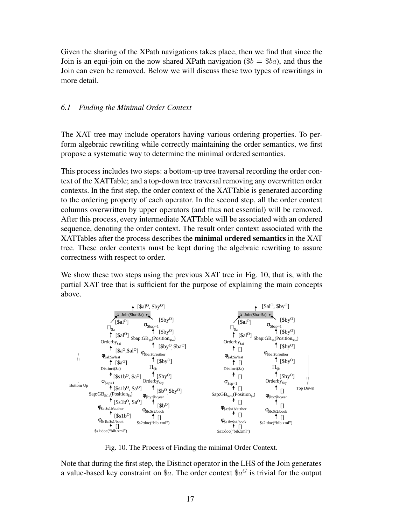Given the sharing of the XPath navigations takes place, then we find that since the Join is an equi-join on the now shared XPath navigation ( $$b = $ba$ ), and thus the Join can even be removed. Below we will discuss these two types of rewritings in more detail.

# *6.1 Finding the Minimal Order Context*

The XAT tree may include operators having various ordering properties. To perform algebraic rewriting while correctly maintaining the order semantics, we first propose a systematic way to determine the minimal ordered semantics.

This process includes two steps: a bottom-up tree traversal recording the order context of the XATTable; and a top-down tree traversal removing any overwritten order contexts. In the first step, the order context of the XATTable is generated according to the ordering property of each operator. In the second step, all the order context columns overwritten by upper operators (and thus not essential) will be removed. After this process, every intermediate XATTable will be associated with an ordered sequence, denoting the order context. The result order context associated with the XATTables after the process describes the minimal ordered semantics in the XAT tree. These order contexts must be kept during the algebraic rewriting to assure correctness with respect to order.

We show these two steps using the previous XAT tree in Fig. 10, that is, with the partial XAT tree that is sufficient for the purpose of explaining the main concepts above.



Fig. 10. The Process of Finding the minimal Order Context.

Note that during the first step, the Distinct operator in the LHS of the Join generates a value-based key constraint on \$a. The order context \$ $a^G$  is trivial for the output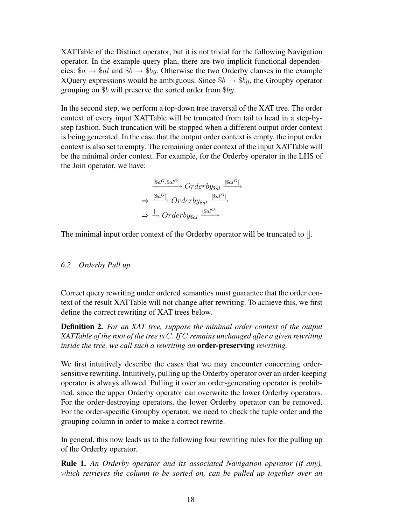XATTable of the Distinct operator, but it is not trivial for the following Navigation operator. In the example query plan, there are two implicit functional dependencies:  $a \rightarrow \text{Gal}$  and  $b \rightarrow \text{B}$ , Otherwise the two Orderby clauses in the example XQuery expressions would be ambiguous. Since  $\$b \rightarrow \$by$ , the Groupby operator grouping on \$b will preserve the sorted order from \$by.

In the second step, we perform a top-down tree traversal of the XAT tree. The order context of every input XATTable will be truncated from tail to head in a step-bystep fashion. Such truncation will be stopped when a different output order context is being generated. In the case that the output order context is empty, the input order context is also set to empty. The remaining order context of the input XATTable will be the minimal order context. For example, for the Orderby operator in the LHS of the Join operator, we have:

> $\xrightarrow{[\$a^G, \$al^O]} Orderby_{\$al} \xrightarrow{[\$al^O]}$  $\Rightarrow \stackrel{[\$a^G]}{\longrightarrow} Orderby_{\$al} \stackrel{[\$a l^O]}{\longrightarrow}$  $\Rightarrow \stackrel{[]}{\rightarrow} Orderby_{\$al} \xrightarrow{[\$al^O]}$

The minimal input order context of the Orderby operator will be truncated to [].

# *6.2 Orderby Pull up*

Correct query rewriting under ordered semantics must guarantee that the order context of the result XATTable will not change after rewriting. To achieve this, we first define the correct rewriting of XAT trees below.

Definition 2. *For an XAT tree, suppose the minimal order context of the output XATTable of the root of the tree is* C*. If* C *remains unchanged after a given rewriting inside the tree, we call such a rewriting an* order-preserving *rewriting.*

We first intuitively describe the cases that we may encounter concerning ordersensitive rewriting. Intuitively, pulling up the Orderby operator over an order-keeping operator is always allowed. Pulling it over an order-generating operator is prohibited, since the upper Orderby operator can overwrite the lower Orderby operators. For the order-destroying operators, the lower Orderby operator can be removed. For the order-specific Groupby operator, we need to check the tuple order and the grouping column in order to make a correct rewrite.

In general, this now leads us to the following four rewriting rules for the pulling up of the Orderby operator.

Rule 1. *An Orderby operator and its associated Navigation operator (if any), which retrieves the column to be sorted on, can be pulled up together over an*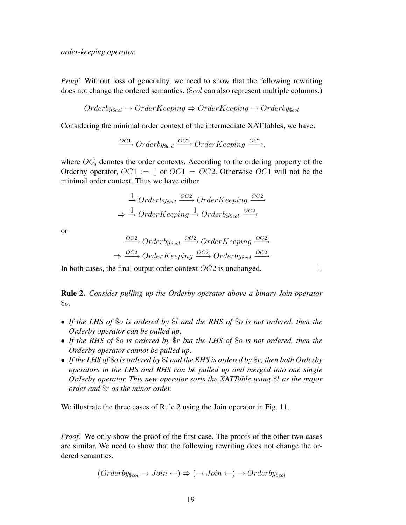*Proof.* Without loss of generality, we need to show that the following rewriting does not change the ordered semantics. (\$*col* can also represent multiple columns.)

$$
Orderby_{\text{3col}} \rightarrow OrderKeeping \Rightarrow OrderKeeping \rightarrow Orderby_{\text{3col}}
$$

Considering the minimal order context of the intermediate XATTables, we have:

 $\frac{OC_1}{\longrightarrow} Orderby_{\text{Scol}} \xrightarrow{OC_2} OrderKeeping \xrightarrow{OC_2}$ 

where  $OC<sub>i</sub>$  denotes the order contexts. According to the ordering property of the Orderby operator,  $OC1 := []$  or  $OC1 = OC2$ . Otherwise  $OC1$  will not be the minimal order context. Thus we have either

$$
\xrightarrow{\mathbb{I}} Orderby_{\text{S}col} \xrightarrow{OC2} OrderKeeping \xrightarrow{OC2} \xrightarrow{\mathbb{I}} OrderKey_{\text{S}col}
$$
\n
$$
\xrightarrow{\mathbb{I}} OrderKeeping \xrightarrow{\mathbb{I}} OrderBy_{\text{S}col} \xrightarrow{OC2}
$$

or

$$
\xrightarrow{OC2} Orderby_{\text{Scol}} \xrightarrow{OC2} OrderKeeping \xrightarrow{OC2} \xrightarrow{OC2} OrderKey_{\text{Scol}} \xrightarrow{OC2}
$$
\n
$$
\xrightarrow{OC2} OrderKeeping \xrightarrow{OC2} Orderby_{\text{Scol}} \xrightarrow{OC2}
$$

In both cases, the final output order context OC2 is unchanged.

Rule 2. *Consider pulling up the Orderby operator above a binary Join operator* \$o*.*

- *If the LHS of* \$o *is ordered by* \$l *and the RHS of* \$o *is not ordered, then the Orderby operator can be pulled up.*
- *If the RHS of* \$o *is ordered by* \$r *but the LHS of* \$o *is not ordered, then the Orderby operator cannot be pulled up.*
- *If the LHS of* \$o *is ordered by* \$l *and the RHS is ordered by* \$r*, then both Orderby operators in the LHS and RHS can be pulled up and merged into one single Orderby operator. This new operator sorts the XATTable using* \$l *as the major order and* \$r *as the minor order.*

We illustrate the three cases of Rule 2 using the Join operator in Fig. 11.

*Proof.* We only show the proof of the first case. The proofs of the other two cases are similar. We need to show that the following rewriting does not change the ordered semantics.

$$
(Orderby_{\text{3col}} \rightarrow Join \leftarrow) \Rightarrow (\rightarrow Join \leftarrow) \rightarrow Orderby_{\text{3col}}
$$

 $\Box$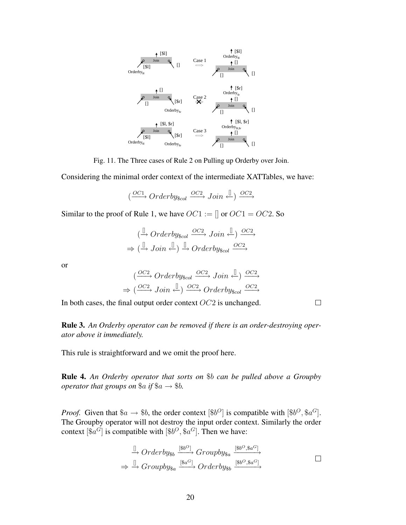

Fig. 11. The Three cases of Rule 2 on Pulling up Orderby over Join.

Considering the minimal order context of the intermediate XATTables, we have:

$$
(\xrightarrow{OC1} Orderby_{\$col} \xrightarrow{OC2} Join \xleftarrow{\mathbb{I}}) \xrightarrow{OC2}
$$

Similar to the proof of Rule 1, we have  $OC1 := \mathcal{C}IC1 = OC2$ . So

$$
\stackrel{(\mathbb{L})}{\to} Orderby_{\text{scol}} \stackrel{OC2}{\longrightarrow} Join \stackrel{(\mathbb{L})}{\to} \frac{OC2}{\longrightarrow}
$$
  

$$
\Rightarrow \stackrel{(\mathbb{L})}{\to} Join \stackrel{(\mathbb{L})}{\longleftrightarrow} Orderby_{\text{scol}} \stackrel{OC2}{\longrightarrow}
$$

or

$$
\xrightarrow{(OC2)} Orderby_{\text{Scol}} \xrightarrow{OC2} Join \xleftarrow{\mathbb{I}}) \xrightarrow{OC2} \xrightarrow{OC2} \rightarrow (\xrightarrow{OC2} Join \xleftarrow{\mathbb{I}}) \xrightarrow{OC2} Orderby_{\text{Scol}} \xrightarrow{OC2}
$$

In both cases, the final output order context OC2 is unchanged.

Rule 3. *An Orderby operator can be removed if there is an order-destroying operator above it immediately.*

This rule is straightforward and we omit the proof here.

Rule 4. *An Orderby operator that sorts on* \$b *can be pulled above a Groupby operator that groups on*  $a$  *if*  $a \rightarrow b$ *.* 

*Proof.* Given that  $a \rightarrow b$ , the order context  $\left[\$b^{\scriptscriptstyle O}\right]$  is compatible with  $\left[\$b^{\scriptscriptstyle O}, \$a^{\scriptscriptstyle G}\right]$ . The Groupby operator will not destroy the input order context. Similarly the order context  $[\$a^G]$  is compatible with  $[\$b^O, \$a^G]$ . Then we have:

$$
\xrightarrow{\mathbb{I}} Orderby_{\$b} \xrightarrow{[\$b^O$]} Groupby_{\$a} \xrightarrow{[\$b^O$, \$a^G$]} \xrightarrow{\mathbb{I}} Groupby_{\$a} \xrightarrow{[\$b^O$, \$a^G$]} \square
$$

 $\Box$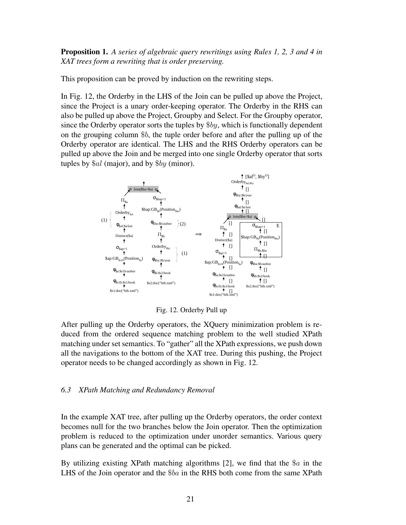Proposition 1. *A series of algebraic query rewritings using Rules 1, 2, 3 and 4 in XAT trees form a rewriting that is order preserving.*

This proposition can be proved by induction on the rewriting steps.

In Fig. 12, the Orderby in the LHS of the Join can be pulled up above the Project, since the Project is a unary order-keeping operator. The Orderby in the RHS can also be pulled up above the Project, Groupby and Select. For the Groupby operator, since the Orderby operator sorts the tuples by  $\$by$ , which is functionally dependent on the grouping column  $$b$ , the tuple order before and after the pulling up of the Orderby operator are identical. The LHS and the RHS Orderby operators can be pulled up above the Join and be merged into one single Orderby operator that sorts tuples by  $\$al$  (major), and by  $\$by$  (minor).



Fig. 12. Orderby Pull up

After pulling up the Orderby operators, the XQuery minimization problem is reduced from the ordered sequence matching problem to the well studied XPath matching under set semantics. To "gather" all the XPath expressions, we push down all the navigations to the bottom of the XAT tree. During this pushing, the Project operator needs to be changed accordingly as shown in Fig. 12.

# *6.3 XPath Matching and Redundancy Removal*

In the example XAT tree, after pulling up the Orderby operators, the order context becomes null for the two branches below the Join operator. Then the optimization problem is reduced to the optimization under unorder semantics. Various query plans can be generated and the optimal can be picked.

By utilizing existing XPath matching algorithms [2], we find that the  $\alpha$  in the LHS of the Join operator and the \$ba in the RHS both come from the same XPath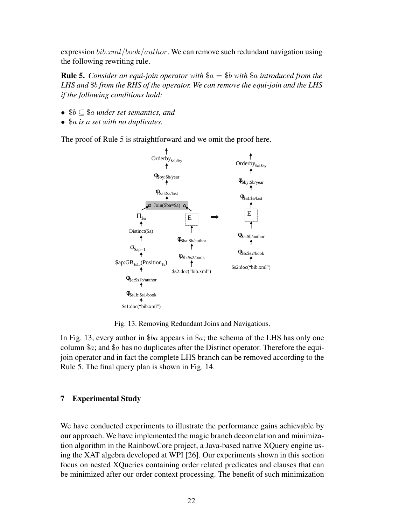expression  $bib.xml/book/author$ . We can remove such redundant navigation using the following rewriting rule.

Rule 5. *Consider an equi-join operator with* \$a = \$b *with* \$a *introduced from the LHS and* \$b *from the RHS of the operator. We can remove the equi-join and the LHS if the following conditions hold:*

- \$b ⊆ \$a *under set semantics, and*
- \$a *is a set with no duplicates.*

The proof of Rule 5 is straightforward and we omit the proof here.



Fig. 13. Removing Redundant Joins and Navigations.

In Fig. 13, every author in \$ba appears in \$a; the schema of the LHS has only one column  $a$ ; and  $a$  has no duplicates after the Distinct operator. Therefore the equijoin operator and in fact the complete LHS branch can be removed according to the Rule 5. The final query plan is shown in Fig. 14.

# 7 Experimental Study

We have conducted experiments to illustrate the performance gains achievable by our approach. We have implemented the magic branch decorrelation and minimization algorithm in the RainbowCore project, a Java-based native XQuery engine using the XAT algebra developed at WPI [26]. Our experiments shown in this section focus on nested XQueries containing order related predicates and clauses that can be minimized after our order context processing. The benefit of such minimization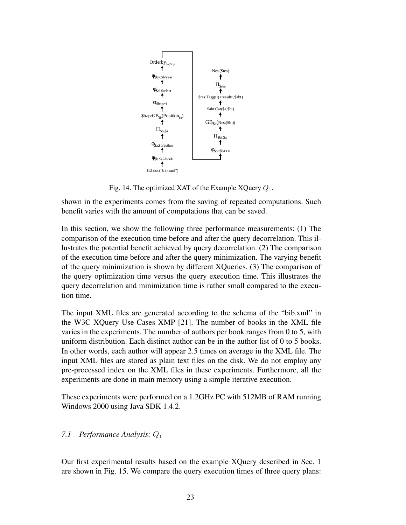

Fig. 14. The optimized XAT of the Example XQuery  $Q_1$ .

shown in the experiments comes from the saving of repeated computations. Such benefit varies with the amount of computations that can be saved.

In this section, we show the following three performance measurements: (1) The comparison of the execution time before and after the query decorrelation. This illustrates the potential benefit achieved by query decorrelation. (2) The comparison of the execution time before and after the query minimization. The varying benefit of the query minimization is shown by different XQueries. (3) The comparison of the query optimization time versus the query execution time. This illustrates the query decorrelation and minimization time is rather small compared to the execution time.

The input XML files are generated according to the schema of the "bib.xml" in the W3C XQuery Use Cases XMP [21]. The number of books in the XML file varies in the experiments. The number of authors per book ranges from 0 to 5, with uniform distribution. Each distinct author can be in the author list of 0 to 5 books. In other words, each author will appear 2.5 times on average in the XML file. The input XML files are stored as plain text files on the disk. We do not employ any pre-processed index on the XML files in these experiments. Furthermore, all the experiments are done in main memory using a simple iterative execution.

These experiments were performed on a 1.2GHz PC with 512MB of RAM running Windows 2000 using Java SDK 1.4.2.

# *7.1 Performance Analysis:* Q<sup>1</sup>

Our first experimental results based on the example XQuery described in Sec. 1 are shown in Fig. 15. We compare the query execution times of three query plans: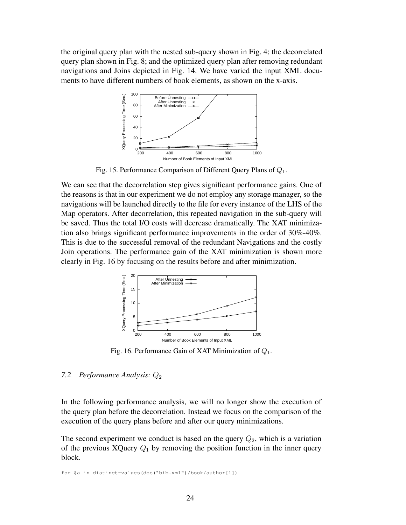the original query plan with the nested sub-query shown in Fig. 4; the decorrelated query plan shown in Fig. 8; and the optimized query plan after removing redundant navigations and Joins depicted in Fig. 14. We have varied the input XML documents to have different numbers of book elements, as shown on the x-axis.



Fig. 15. Performance Comparison of Different Query Plans of  $Q_1$ .

We can see that the decorrelation step gives significant performance gains. One of the reasons is that in our experiment we do not employ any storage manager, so the navigations will be launched directly to the file for every instance of the LHS of the Map operators. After decorrelation, this repeated navigation in the sub-query will be saved. Thus the total I/O costs will decrease dramatically. The XAT minimization also brings significant performance improvements in the order of 30%-40%. This is due to the successful removal of the redundant Navigations and the costly Join operations. The performance gain of the XAT minimization is shown more clearly in Fig. 16 by focusing on the results before and after minimization.



Fig. 16. Performance Gain of XAT Minimization of Q1.

# *7.2 Performance Analysis: Q*<sub>2</sub>

In the following performance analysis, we will no longer show the execution of the query plan before the decorrelation. Instead we focus on the comparison of the execution of the query plans before and after our query minimizations.

The second experiment we conduct is based on the query  $Q_2$ , which is a variation of the previous XQuery  $Q_1$  by removing the position function in the inner query block.

for \$a in distinct-values(doc("bib.xml")/book/author[1])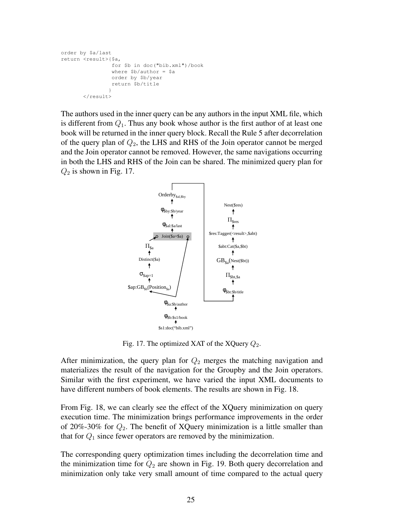```
order by $a/last
return <result>{$a,
                 for $b in doc("bib.xml")/book
                 where $b/author = $a
                 order by $b/year
                 return $b/title
                }
       \langle /result>
```
The authors used in the inner query can be any authors in the input XML file, which is different from  $Q_1$ . Thus any book whose author is the first author of at least one book will be returned in the inner query block. Recall the Rule 5 after decorrelation of the query plan of  $Q_2$ , the LHS and RHS of the Join operator cannot be merged and the Join operator cannot be removed. However, the same navigations occurring in both the LHS and RHS of the Join can be shared. The minimized query plan for  $Q_2$  is shown in Fig. 17.



Fig. 17. The optimized XAT of the XQuery  $Q_2$ .

After minimization, the query plan for  $Q_2$  merges the matching navigation and materializes the result of the navigation for the Groupby and the Join operators. Similar with the first experiment, we have varied the input XML documents to have different numbers of book elements. The results are shown in Fig. 18.

From Fig. 18, we can clearly see the effect of the XQuery minimization on query execution time. The minimization brings performance improvements in the order of 20%-30% for  $Q_2$ . The benefit of XQuery minimization is a little smaller than that for  $Q_1$  since fewer operators are removed by the minimization.

The corresponding query optimization times including the decorrelation time and the minimization time for  $Q_2$  are shown in Fig. 19. Both query decorrelation and minimization only take very small amount of time compared to the actual query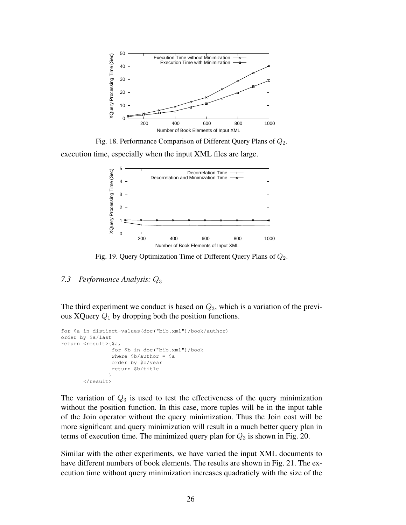

Fig. 18. Performance Comparison of Different Query Plans of  $Q_2$ .

execution time, especially when the input XML files are large.



Fig. 19. Query Optimization Time of Different Query Plans of  $Q_2$ .

# *7.3 Performance Analysis:* Q<sup>3</sup>

The third experiment we conduct is based on  $Q_3$ , which is a variation of the previous XQuery  $Q_1$  by dropping both the position functions.

```
for $a in distinct-values(doc("bib.xml")/book/author)
order by $a/last
return <result>{$a,
                 for $b in doc("bib.xml")/book
                 where $b/author = $a
                 order by $b/year
                 return $b/title
                }
       \langle/result>
```
The variation of  $Q_3$  is used to test the effectiveness of the query minimization without the position function. In this case, more tuples will be in the input table of the Join operator without the query minimization. Thus the Join cost will be more significant and query minimization will result in a much better query plan in terms of execution time. The minimized query plan for  $Q_3$  is shown in Fig. 20.

Similar with the other experiments, we have varied the input XML documents to have different numbers of book elements. The results are shown in Fig. 21. The execution time without query minimization increases quadraticly with the size of the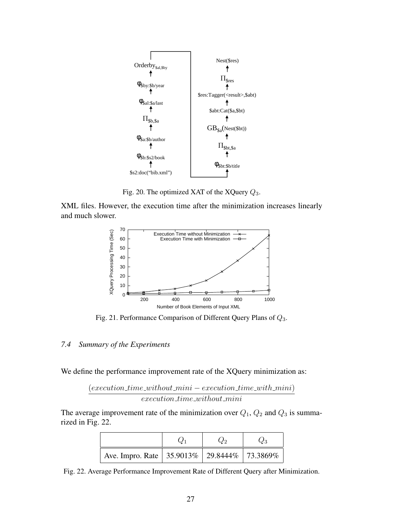

Fig. 20. The optimized XAT of the XQuery  $Q_3$ .

XML files. However, the execution time after the minimization increases linearly and much slower.



Fig. 21. Performance Comparison of Different Query Plans of  $Q_3$ .

#### *7.4 Summary of the Experiments*

We define the performance improvement rate of the XQuery minimization as:

 $(execution_time\_without\_mini - execution\_time\_with\_mini)$  $execution\_time\_without\_mini$ 

The average improvement rate of the minimization over  $Q_1$ ,  $Q_2$  and  $Q_3$  is summarized in Fig. 22.

| Ave. Impro. Rate   35.9013%   29.8444%   73.3869% |  |  |
|---------------------------------------------------|--|--|

Fig. 22. Average Performance Improvement Rate of Different Query after Minimization.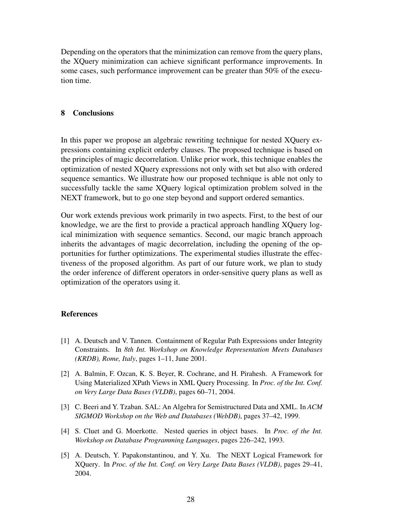Depending on the operators that the minimization can remove from the query plans, the XQuery minimization can achieve significant performance improvements. In some cases, such performance improvement can be greater than 50% of the execution time.

### 8 Conclusions

In this paper we propose an algebraic rewriting technique for nested XQuery expressions containing explicit orderby clauses. The proposed technique is based on the principles of magic decorrelation. Unlike prior work, this technique enables the optimization of nested XQuery expressions not only with set but also with ordered sequence semantics. We illustrate how our proposed technique is able not only to successfully tackle the same XQuery logical optimization problem solved in the NEXT framework, but to go one step beyond and support ordered semantics.

Our work extends previous work primarily in two aspects. First, to the best of our knowledge, we are the first to provide a practical approach handling XQuery logical minimization with sequence semantics. Second, our magic branch approach inherits the advantages of magic decorrelation, including the opening of the opportunities for further optimizations. The experimental studies illustrate the effectiveness of the proposed algorithm. As part of our future work, we plan to study the order inference of different operators in order-sensitive query plans as well as optimization of the operators using it.

#### References

- [1] A. Deutsch and V. Tannen. Containment of Regular Path Expressions under Integrity Constraints. In *8th Int. Workshop on Knowledge Representation Meets Databases (KRDB), Rome, Italy*, pages 1–11, June 2001.
- [2] A. Balmin, F. Ozcan, K. S. Beyer, R. Cochrane, and H. Pirahesh. A Framework for Using Materialized XPath Views in XML Query Processing. In *Proc. of the Int. Conf. on Very Large Data Bases (VLDB)*, pages 60–71, 2004.
- [3] C. Beeri and Y. Tzaban. SAL: An Algebra for Semistructured Data and XML. In *ACM SIGMOD Workshop on the Web and Databases (WebDB)*, pages 37–42, 1999.
- [4] S. Cluet and G. Moerkotte. Nested queries in object bases. In *Proc. of the Int. Workshop on Database Programming Languages*, pages 226–242, 1993.
- [5] A. Deutsch, Y. Papakonstantinou, and Y. Xu. The NEXT Logical Framework for XQuery. In *Proc. of the Int. Conf. on Very Large Data Bases (VLDB)*, pages 29–41, 2004.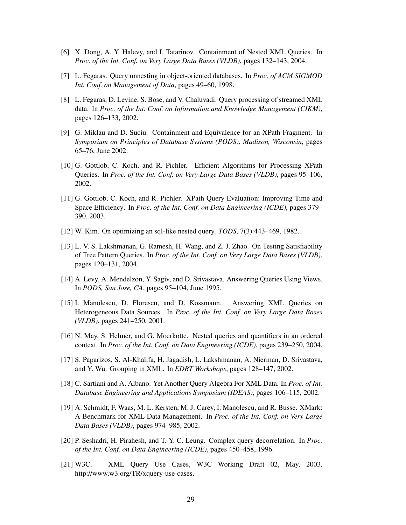- [6] X. Dong, A. Y. Halevy, and I. Tatarinov. Containment of Nested XML Queries. In *Proc. of the Int. Conf. on Very Large Data Bases (VLDB)*, pages 132–143, 2004.
- [7] L. Fegaras. Query unnesting in object-oriented databases. In *Proc. of ACM SIGMOD Int. Conf. on Management of Data*, pages 49–60, 1998.
- [8] L. Fegaras, D. Levine, S. Bose, and V. Chaluvadi. Query processing of streamed XML data. In *Proc. of the Int. Conf. on Information and Knowledge Management (CIKM)*, pages 126–133, 2002.
- [9] G. Miklau and D. Suciu. Containment and Equivalence for an XPath Fragment. In *Symposium on Principles of Database Systems (PODS), Madison, Wisconsin*, pages 65–76, June 2002.
- [10] G. Gottlob, C. Koch, and R. Pichler. Efficient Algorithms for Processing XPath Queries. In *Proc. of the Int. Conf. on Very Large Data Bases (VLDB)*, pages 95–106, 2002.
- [11] G. Gottlob, C. Koch, and R. Pichler. XPath Query Evaluation: Improving Time and Space Efficiency. In *Proc. of the Int. Conf. on Data Engineering (ICDE)*, pages 379– 390, 2003.
- [12] W. Kim. On optimizing an sql-like nested query. *TODS*, 7(3):443–469, 1982.
- [13] L. V. S. Lakshmanan, G. Ramesh, H. Wang, and Z. J. Zhao. On Testing Satisfiability of Tree Pattern Queries. In *Proc. of the Int. Conf. on Very Large Data Bases (VLDB)*, pages 120–131, 2004.
- [14] A. Levy, A. Mendelzon, Y. Sagiv, and D. Srivastava. Answering Queries Using Views. In *PODS, San Jose, CA*, pages 95–104, June 1995.
- [15] I. Manolescu, D. Florescu, and D. Kossmann. Answering XML Queries on Heterogeneous Data Sources. In *Proc. of the Int. Conf. on Very Large Data Bases (VLDB)*, pages 241–250, 2001.
- [16] N. May, S. Helmer, and G. Moerkotte. Nested queries and quantifiers in an ordered context. In *Proc. of the Int. Conf. on Data Engineering (ICDE)*, pages 239–250, 2004.
- [17] S. Paparizos, S. Al-Khalifa, H. Jagadish, L. Lakshmanan, A. Nierman, D. Srivastava, and Y. Wu. Grouping in XML. In *EDBT Workshops*, pages 128–147, 2002.
- [18] C. Sartiani and A. Albano. Yet Another Query Algebra For XML Data. In *Proc. of Int. Database Engineering and Applications Symposium (IDEAS)*, pages 106–115, 2002.
- [19] A. Schmidt, F. Waas, M. L. Kersten, M. J. Carey, I. Manolescu, and R. Busse. XMark: A Benchmark for XML Data Management. In *Proc. of the Int. Conf. on Very Large Data Bases (VLDB)*, pages 974–985, 2002.
- [20] P. Seshadri, H. Pirahesh, and T. Y. C. Leung. Complex query decorrelation. In *Proc. of the Int. Conf. on Data Engineering (ICDE)*, pages 450–458, 1996.
- [21] W3C. XML Query Use Cases, W3C Working Draft 02, May, 2003. http://www.w3.org/TR/xquery-use-cases.